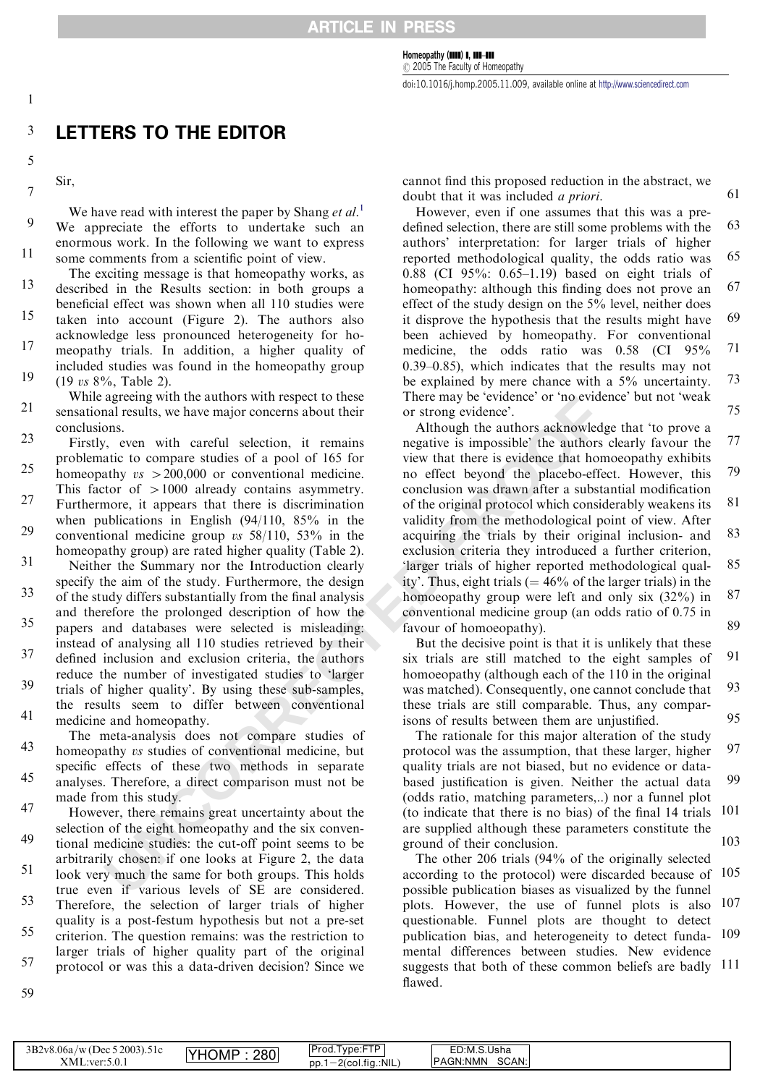Homeopathy (IIII) I, III-III

 $C$  2005 The Faculty of Homeopathy

doi:10.1016/j.homp.2005.11.009, available online at [http://www.sciencedirect.com](www.sciencedirect.com)

## 3 **LETTERS TO THE EDITOR**

5

 $\overline{7}$ 

 $\mathbf{1}$ 

Sir,

13579 We have read with interest the paper by Shang et  $al$ <sup>[1](#page-1-0)</sup>.  $\overline{Q}$ We appreciate the efforts to undertake such an enormous work. In the following we want to express 11 some comments from a scientific point of view.

The exciting message is that homeopathy works, as described in the Results section: in both groups a beneficial effect was shown when all 110 studies were taken into account (Figure 2). The authors also acknowledge less pronounced heterogeneity for homeopathy trials. In addition, a higher quality of included studies was found in the homeopathy group (19 vs 8%, Table 2). 13 15 17 19

While agreeing with the authors with respect to these sensational results, we have major concerns about their conclusions. 21

agreeny with the authors with respect to these<br>
one and results, we have major concerns about their<br>
or strong evidence'. The compare included the authors acknowled<br>
or strong evidence'.<br>
A, even with careful selection, it Firstly, even with careful selection, it remains problematic to compare studies of a pool of 165 for homeopathy  $vs > 200,000$  or conventional medicine. This factor of  $>1000$  already contains asymmetry. Furthermore, it appears that there is discrimination when publications in English (94/110, 85% in the conventional medicine group vs 58/110, 53% in the homeopathy group) are rated higher quality (Table 2). Neither the Summary nor the Introduction clearly specify the aim of the study. Furthermore, the design of the study differs substantially from the final analysis 23 25 27 29 31 33

and therefore the prolonged description of how the papers and databases were selected is misleading: instead of analysing all 110 studies retrieved by their defined inclusion and exclusion criteria, the authors reduce the number of investigated studies to 'larger trials of higher quality'. By using these sub-samples, the results seem to differ between conventional 35 37 39

medicine and homeopathy. The meta-analysis does not compare studies of 41

homeopathy vs studies of conventional medicine, but specific effects of these two methods in separate analyses. Therefore, a direct comparison must not be made from this study. 43 45

However, there remains great uncertainty about the selection of the eight homeopathy and the six conventional medicine studies: the cut-off point seems to be arbitrarily chosen: if one looks at Figure 2, the data look very much the same for both groups. This holds true even if various levels of SE are considered. Therefore, the selection of larger trials of higher quality is a post-festum hypothesis but not a pre-set criterion. The question remains: was the restriction to larger trials of higher quality part of the original protocol or was this a data-driven decision? Since we 47 49 51 53 55 57

cannot find this proposed reduction in the abstract, we doubt that it was included a priori.

61

However, even if one assumes that this was a predefined selection, there are still some problems with the authors' interpretation: for larger trials of higher reported methodological quality, the odds ratio was 0.88 (CI 95%: 0.65–1.19) based on eight trials of homeopathy: although this finding does not prove an effect of the study design on the 5% level, neither does it disprove the hypothesis that the results might have been achieved by homeopathy. For conventional medicine, the odds ratio was 0.58 (CI 95% 0.39–0.85), which indicates that the results may not be explained by mere chance with a 5% uncertainty. There may be 'evidence' or 'no evidence' but not 'weak or strong evidence'. 63 65 67 69 71 73 75

Although the authors acknowledge that 'to prove a negative is impossible' the authors clearly favour the view that there is evidence that homoeopathy exhibits no effect beyond the placebo-effect. However, this conclusion was drawn after a substantial modification of the original protocol which considerably weakens its validity from the methodological point of view. After acquiring the trials by their original inclusion- and exclusion criteria they introduced a further criterion, 'larger trials of higher reported methodological quality'. Thus, eight trials  $(= 46\%$  of the larger trials) in the homoeopathy group were left and only six (32%) in conventional medicine group (an odds ratio of 0.75 in favour of homoeopathy). 77 79 81 83 85 87 89

But the decisive point is that it is unlikely that these six trials are still matched to the eight samples of homoeopathy (although each of the 110 in the original was matched). Consequently, one cannot conclude that these trials are still comparable. Thus, any comparisons of results between them are unjustified. 91 93 95

The rationale for this major alteration of the study protocol was the assumption, that these larger, higher quality trials are not biased, but no evidence or databased justification is given. Neither the actual data (odds ratio, matching parameters,..) nor a funnel plot (to indicate that there is no bias) of the final 14 trials 101 are supplied although these parameters constitute the ground of their conclusion. 97 99 103

The other 206 trials (94% of the originally selected according to the protocol) were discarded because of 105 possible publication biases as visualized by the funnel plots. However, the use of funnel plots is also 107 questionable. Funnel plots are thought to detect publication bias, and heterogeneity to detect funda-109 mental differences between studies. New evidence suggests that both of these common beliefs are badly 111 flawed.

59

|--|